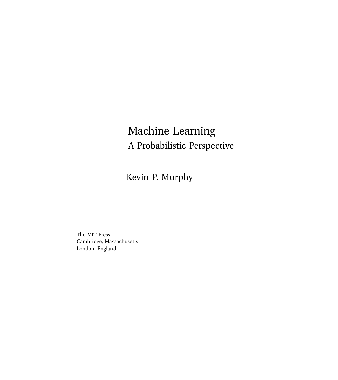# Machine Learning A Probabilistic Perspective

Kevin P. Murphy

The MIT Press Cambridge, Massachusetts London, England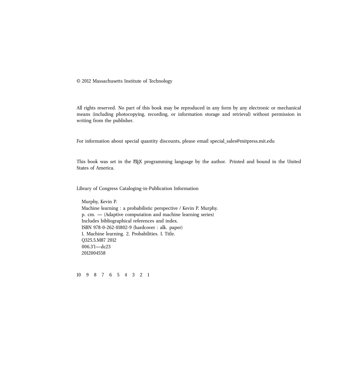#### © 2012 Massachusetts Institute of Technology

All rights reserved. No part of this book may be reproduced in any form by any electronic or mechanical means (including photocopying, recording, or information storage and retrieval) without permission in writing from the publisher.

For information about special quantity discounts, please email special\_sales@mitpress.mit.edu

This book was set in the EIFX programming language by the author. Printed and bound in the United States of America.

Library of Congress Cataloging-in-Publication Information

Murphy, Kevin P. Machine learning : a probabilistic perspective / Kevin P. Murphy. p. cm. — (Adaptive computation and machine learning series) Includes bibliographical references and index. ISBN 978-0-262-01802-9 (hardcover : alk. paper) 1. Machine learning. 2. Probabilities. I. Title. Q325.5.M87 2012 006.3'1—dc23 2012004558

10 9 8 7 6 5 4 3 2 1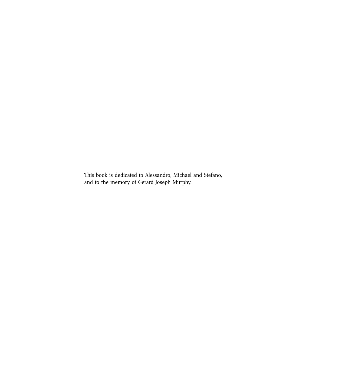This book is dedicated to Alessandro, Michael and Stefano, and to the memory of Gerard Joseph Murphy.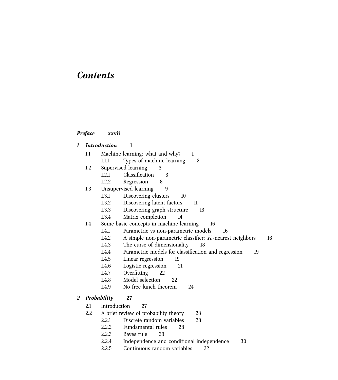# *Contents*

#### *Preface* **xxvii**

# *1 Introduction* **1**

- 1.1 Machine learning: what and why? 1
	- 1.1.1 Types of machine learning 2
- 1.2 Supervised learning 3
	- 1.2.1 Classification 3
	- 1.2.2 Regression 8
- 1.3 Unsupervised learning 9
	- 1.3.1 Discovering clusters 10
	- 1.3.2 Discovering latent factors 11
	- 1.3.3 Discovering graph structure 13
	- 1.3.4 Matrix completion 14
- 1.4 Some basic concepts in machine learning 16
	- 1.4.1 Parametric vs non-parametric models 16
	- 1.4.2 A simple non-parametric classifier: K-nearest neighbors 16
	- 1.4.3 The curse of dimensionality 18
	- 1.4.4 Parametric models for classification and regression 19
	- 1.4.5 Linear regression 19
	- 1.4.6 Logistic regression 21
	- 1.4.7 Overfitting 22
	- 1.4.8 Model selection 22
	- 1.4.9 No free lunch theorem 24

# *2 Probability* **27**

- 2.1 Introduction 27
- 2.2 A brief review of probability theory 28
	- 2.2.1 Discrete random variables 28
	- 2.2.2 Fundamental rules 28
	- 2.2.3 Bayes rule 29
	- 2.2.4 Independence and conditional independence 30
	- 2.2.5 Continuous random variables 32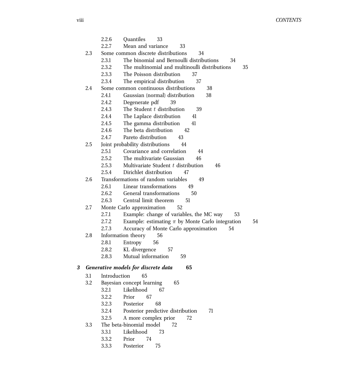|   |     | 2.2.6        | Quantiles<br>33                                            |
|---|-----|--------------|------------------------------------------------------------|
|   |     | 2.2.7        | Mean and variance<br>33                                    |
|   | 2.3 |              | Some common discrete distributions<br>34                   |
|   |     | 2.3.1        | The binomial and Bernoulli distributions<br>34             |
|   |     | 2.3.2        | The multinomial and multinoulli distributions<br>35        |
|   |     | 2.3.3        | The Poisson distribution<br>37                             |
|   |     | 2.3.4        | The empirical distribution<br>37                           |
|   | 2.4 |              | Some common continuous distributions<br>38                 |
|   |     | 2.4.1        | Gaussian (normal) distribution<br>38                       |
|   |     | 2.4.2        | Degenerate pdf<br>39                                       |
|   |     | 2.4.3        | The Student $t$ distribution<br>39                         |
|   |     | 2.4.4        | The Laplace distribution<br>41                             |
|   |     | 2.4.5        | The gamma distribution<br>41                               |
|   |     | 2.4.6        | The beta distribution<br>42                                |
|   |     | 2.4.7        | Pareto distribution<br>43                                  |
|   | 2.5 |              | Joint probability distributions<br>44                      |
|   |     | 2.5.1        | Covariance and correlation<br>44                           |
|   |     | 2.5.2        | The multivariate Gaussian<br>46                            |
|   |     | 2.5.3        | Multivariate Student t distribution<br>46                  |
|   |     | 2.5.4        | Dirichlet distribution<br>47                               |
|   | 2.6 |              | Transformations of random variables<br>49                  |
|   |     | 2.6.1        | Linear transformations<br>49                               |
|   |     | 2.6.2        | General transformations<br>50                              |
|   |     | 2.6.3        | Central limit theorem<br>51                                |
|   | 2.7 |              | Monte Carlo approximation<br>52                            |
|   |     | 2.7.1        | Example: change of variables, the MC way<br>53             |
|   |     | 2.7.2        | Example: estimating $\pi$ by Monte Carlo integration<br>54 |
|   |     | 2.7.3        | Accuracy of Monte Carlo approximation<br>54                |
|   | 2.8 |              | Information theory<br>56                                   |
|   |     | 2.8.1        | 56<br>Entropy                                              |
|   |     | 2.8.2        | KL divergence<br>57                                        |
|   |     | 2.8.3        | Mutual information<br>59                                   |
| 3 |     |              | Generative models for discrete data<br>65                  |
|   | 3.1 | Introduction | 65                                                         |
|   | 3.2 |              | Bayesian concept learning<br>65                            |
|   |     | 3.2.1        | Likelihood<br>67                                           |
|   |     | 3.2.2 Prior  | 67                                                         |
|   |     | 3.2.3        | Posterior<br>68                                            |
|   |     | 3.2.4        | Posterior predictive distribution<br>71                    |
|   |     | 3.2.5        | A more complex prior<br>72                                 |
|   | 3.3 |              | The beta-binomial model<br>72                              |
|   |     | 3.3.1        | Likelihood<br>73                                           |
|   |     | 3.3.2        | 74<br>Prior                                                |
|   |     | 3.3.3        | Posterior<br>75                                            |
|   |     |              |                                                            |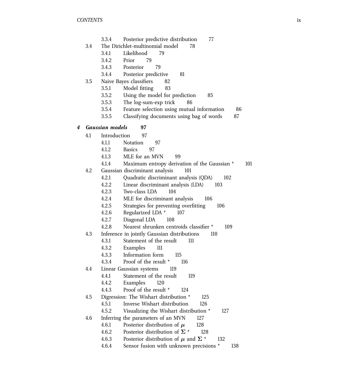- 3.3.4 Posterior predictive distribution 77
- 3.4 The Dirichlet-multinomial model 78
	- 3.4.1 Likelihood 79
	- 3.4.2 Prior 79
	- 3.4.3 Posterior 79
	- 3.4.4 Posterior predictive 81
- 3.5 Naive Bayes classifiers 82
	- 3.5.1 Model fitting 83
	- 3.5.2 Using the model for prediction 85
	- 3.5.3 The log-sum-exp trick 86
	- 3.5.4 Feature selection using mutual information 86
	- 3.5.5 Classifying documents using bag of words 87

# *4 Gaussian models* **97**

- 4.1 Introduction 97
	- 4.1.1 Notation 97
	- 4.1.2 Basics 97
	- 4.1.3 MLE for an MVN 99
	- 4.1.4 Maximum entropy derivation of the Gaussian \* 101
- 4.2 Gaussian discriminant analysis 101
	- 4.2.1 Quadratic discriminant analysis (QDA) 102
	- 4.2.2 Linear discriminant analysis (LDA) 103
	- 4.2.3 Two-class LDA 104
	- 4.2.4 MLE for discriminant analysis 106
	- 4.2.5 Strategies for preventing overfitting 106
	- 4.2.6 Regularized LDA \* 107
	- 4.2.7 Diagonal LDA 108
	- 4.2.8 Nearest shrunken centroids classifier \* 109
- 4.3 Inference in jointly Gaussian distributions 110
	- 4.3.1 Statement of the result 111
	- 4.3.2 Examples 111
	- 4.3.3 Information form 115
	- 4.3.4 Proof of the result \* 116
- 4.4 Linear Gaussian systems 119
	- 4.4.1 Statement of the result 119
	- 4.4.2 Examples 120
		- 4.4.3 Proof of the result \* 124
- 4.5 Digression: The Wishart distribution \* 125
	- 4.5.1 Inverse Wishart distribution 126
	- 4.5.2 Visualizing the Wishart distribution \* 127
- 4.6 Inferring the parameters of an MVN 127
	- 4.6.1 Posterior distribution of *µ* 128
	- 4.6.2 Posterior distribution of  $\Sigma^*$  128
	- 4.6.3 Posterior distribution of  $\mu$  and  $\Sigma^*$  132
	- 4.6.4 Sensor fusion with unknown precisions \* 138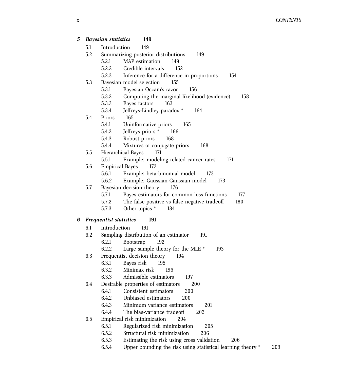# *5 Bayesian statistics* **149**

- 5.1 Introduction 149
- 5.2 Summarizing posterior distributions 149
	- 5.2.1 MAP estimation 149
	- 5.2.2 Credible intervals 152
	- 5.2.3 Inference for a difference in proportions 154
- 5.3 Bayesian model selection 155
	- 5.3.1 Bayesian Occam's razor 156
	- 5.3.2 Computing the marginal likelihood (evidence) 158
	- 5.3.3 Bayes factors 163
	- 5.3.4 Jeffreys-Lindley paradox \* 164
- 5.4 Priors 165
	- 5.4.1 Uninformative priors 165
	- 5.4.2 Jeffreys priors \* 166
	- 5.4.3 Robust priors 168
	- 5.4.4 Mixtures of conjugate priors 168
- 5.5 Hierarchical Bayes 171
	- 5.5.1 Example: modeling related cancer rates 171
- 5.6 Empirical Bayes 172
	- 5.6.1 Example: beta-binomial model 173
	- 5.6.2 Example: Gaussian-Gaussian model 173
- 5.7 Bayesian decision theory 176
	- 5.7.1 Bayes estimators for common loss functions 177
	- 5.7.2 The false positive vs false negative tradeoff 180
	- 5.7.3 Other topics \* 184

### *6 Frequentist statistics* **191**

- 6.1 Introduction 191
- 6.2 Sampling distribution of an estimator 191
	- 6.2.1 Bootstrap 192
	- 6.2.2 Large sample theory for the MLE \* 193
- 6.3 Frequentist decision theory 194
	- 6.3.1 Bayes risk 195
	- 6.3.2 Minimax risk 196
	- 6.3.3 Admissible estimators 197
- 6.4 Desirable properties of estimators 200
	- 6.4.1 Consistent estimators 200
	- 6.4.2 Unbiased estimators 200
	- 6.4.3 Minimum variance estimators 201
	- 6.4.4 The bias-variance tradeoff 202
- 6.5 Empirical risk minimization 204
	- 6.5.1 Regularized risk minimization 205
	- 6.5.2 Structural risk minimization 206
	- 6.5.3 Estimating the risk using cross validation 206
	- 6.5.4 Upper bounding the risk using statistical learning theory \* 209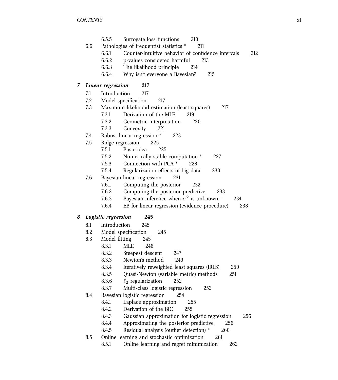- 6.5.5 Surrogate loss functions 210
- 6.6 Pathologies of frequentist statistics \* 211
	- 6.6.1 Counter-intuitive behavior of confidence intervals 212
	- 6.6.2 p-values considered harmful 213
	- 6.6.3 The likelihood principle 214
	- 6.6.4 Why isn't everyone a Bayesian? 215

# *7 Linear regression* **217**

- 7.1 Introduction 217
- 7.2 Model specification 217
- 7.3 Maximum likelihood estimation (least squares) 217
	- 7.3.1 Derivation of the MLE 219
	- 7.3.2 Geometric interpretation 220
	- 7.3.3 Convexity 221
- 7.4 Robust linear regression \* 223
- 7.5 Ridge regression 225
	- 7.5.1 Basic idea 225
	- 7.5.2 Numerically stable computation \* 227
	- 7.5.3 Connection with PCA \* 228
	- 7.5.4 Regularization effects of big data 230
- 7.6 Bayesian linear regression 231
	- 7.6.1 Computing the posterior 232
	- 7.6.2 Computing the posterior predictive 233
	- 7.6.3 Bayesian inference when  $\sigma^2$  is unknown \* 234
	- 7.6.4 EB for linear regression (evidence procedure) 238

# *8 Logistic regression* **245**

- 8.1 Introduction 245
- 8.2 Model specification 245
- 8.3 Model fitting 245
	- 8.3.1 MLE 246
	- 8.3.2 Steepest descent 247
	- 8.3.3 Newton's method 249
	- 8.3.4 Iteratively reweighted least squares (IRLS) 250
	- 8.3.5 Quasi-Newton (variable metric) methods 251
	- 8.3.6  $\ell_2$  regularization 252
	- 8.3.7 Multi-class logistic regression 252
- 8.4 Bayesian logistic regression 254
	- 8.4.1 Laplace approximation 255
	- 8.4.2 Derivation of the BIC 255
	- 8.4.3 Gaussian approximation for logistic regression 256
	- 8.4.4 Approximating the posterior predictive 256
	- 8.4.5 Residual analysis (outlier detection) \* 260
- 8.5 Online learning and stochastic optimization 261
	- 8.5.1 Online learning and regret minimization 262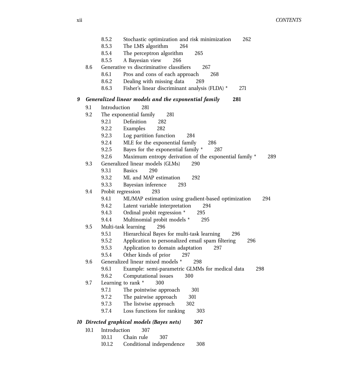|   | 8.6  | 8.5.2<br>8.5.3<br>8.5.4<br>8.5.5<br>8.6.1<br>8.6.2<br>8.6.3 | Stochastic optimization and risk minimization<br>262<br>The LMS algorithm<br>264<br>The perceptron algorithm<br>265<br>A Bayesian view<br>266<br>Generative vs discriminative classifiers<br>267<br>Pros and cons of each approach<br>268<br>Dealing with missing data<br>269<br>Fisher's linear discriminant analysis (FLDA) *<br>271 |
|---|------|-------------------------------------------------------------|----------------------------------------------------------------------------------------------------------------------------------------------------------------------------------------------------------------------------------------------------------------------------------------------------------------------------------------|
| 9 |      |                                                             | Generalized linear models and the exponential family<br>281                                                                                                                                                                                                                                                                            |
|   | 9.1  | Introduction                                                | 281                                                                                                                                                                                                                                                                                                                                    |
|   | 9.2  |                                                             | The exponential family<br>281                                                                                                                                                                                                                                                                                                          |
|   |      | 9.2.1                                                       | Definition<br>282                                                                                                                                                                                                                                                                                                                      |
|   |      | 9.2.2                                                       | 282<br>Examples                                                                                                                                                                                                                                                                                                                        |
|   |      | 9.2.3                                                       | Log partition function<br>284                                                                                                                                                                                                                                                                                                          |
|   |      | 9.2.4                                                       | MLE for the exponential family<br>286                                                                                                                                                                                                                                                                                                  |
|   |      | 9.2.5                                                       | Bayes for the exponential family *<br>287                                                                                                                                                                                                                                                                                              |
|   |      | 9.2.6                                                       | Maximum entropy derivation of the exponential family *<br>289                                                                                                                                                                                                                                                                          |
|   | 9.3  |                                                             | Generalized linear models (GLMs)<br>290                                                                                                                                                                                                                                                                                                |
|   |      | 9.3.1                                                       | 290<br><b>Basics</b>                                                                                                                                                                                                                                                                                                                   |
|   |      | 9.3.2                                                       | ML and MAP estimation<br>292                                                                                                                                                                                                                                                                                                           |
|   |      | 9.3.3                                                       | Bayesian inference<br>293                                                                                                                                                                                                                                                                                                              |
|   | 9.4  | Probit regression                                           | 293                                                                                                                                                                                                                                                                                                                                    |
|   |      | 9.4.1                                                       | ML/MAP estimation using gradient-based optimization<br>294                                                                                                                                                                                                                                                                             |
|   |      | 9.4.2                                                       | Latent variable interpretation<br>294                                                                                                                                                                                                                                                                                                  |
|   |      | 9.4.3                                                       | Ordinal probit regression *<br>295                                                                                                                                                                                                                                                                                                     |
|   |      | 9.4.4                                                       | Multinomial probit models *<br>295                                                                                                                                                                                                                                                                                                     |
|   | 9.5  |                                                             | Multi-task learning<br>296                                                                                                                                                                                                                                                                                                             |
|   |      | 9.5.1                                                       | Hierarchical Bayes for multi-task learning<br>296                                                                                                                                                                                                                                                                                      |
|   |      | 9.5.2                                                       | Application to personalized email spam filtering<br>296                                                                                                                                                                                                                                                                                |
|   |      | 9.5.3                                                       | Application to domain adaptation<br>297                                                                                                                                                                                                                                                                                                |
|   |      | 9.5.4                                                       | Other kinds of prior<br>297                                                                                                                                                                                                                                                                                                            |
|   | 9.6  |                                                             | Generalized linear mixed models *<br>298                                                                                                                                                                                                                                                                                               |
|   |      | 9.6.1                                                       | Example: semi-parametric GLMMs for medical data<br>298                                                                                                                                                                                                                                                                                 |
|   |      | 9.6.2                                                       | Computational issues<br>300                                                                                                                                                                                                                                                                                                            |
|   | 9.7  |                                                             | Learning to rank *<br>300                                                                                                                                                                                                                                                                                                              |
|   |      | 9.7.1                                                       | The pointwise approach<br>301                                                                                                                                                                                                                                                                                                          |
|   |      | 9.7.2                                                       | The pairwise approach<br>301                                                                                                                                                                                                                                                                                                           |
|   |      | 9.7.3                                                       | The listwise approach<br>302                                                                                                                                                                                                                                                                                                           |
|   |      | 9.7.4                                                       | Loss functions for ranking<br>303                                                                                                                                                                                                                                                                                                      |
|   |      |                                                             | 10 Directed graphical models (Bayes nets)<br>307                                                                                                                                                                                                                                                                                       |
|   | 10.1 | Introduction                                                | 307                                                                                                                                                                                                                                                                                                                                    |
|   |      | 10.1.1                                                      | Chain rule<br>307                                                                                                                                                                                                                                                                                                                      |
|   |      | 10.1.2                                                      | Conditional independence<br>308                                                                                                                                                                                                                                                                                                        |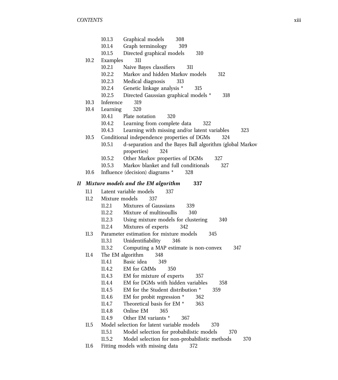|      | 10.1.3<br>Graphical models<br>308                                  |
|------|--------------------------------------------------------------------|
|      | 10.1.4<br>Graph terminology<br>309                                 |
|      | Directed graphical models<br>10.1.5<br>310                         |
| 10.2 | 311<br>Examples                                                    |
|      | 10.2.1<br>Naive Bayes classifiers<br>311                           |
|      | Markov and hidden Markov models<br>10.2.2<br>312                   |
|      | 313<br>10.2.3<br>Medical diagnosis                                 |
|      | Genetic linkage analysis *<br>10.2.4<br>315                        |
|      | Directed Gaussian graphical models *<br>10.2.5<br>318              |
| 10.3 | Inference<br>319                                                   |
| 10.4 | 320<br>Learning                                                    |
|      | 10.4.1<br>Plate notation<br>320                                    |
|      | Learning from complete data<br>10.4.2<br>322                       |
|      | Learning with missing and/or latent variables<br>10.4.3<br>323     |
| 10.5 | Conditional independence properties of DGMs<br>324                 |
|      | d-separation and the Bayes Ball algorithm (global Markov<br>10.5.1 |
|      | properties)<br>324                                                 |
|      | Other Markov properties of DGMs<br>10.5.2<br>327                   |
|      | Markov blanket and full conditionals<br>10.5.3<br>327              |
| 10.6 | Influence (decision) diagrams *<br>328                             |
|      | 11 Mixture models and the EM algorithm<br>337                      |
| 11.1 | Latent variable models<br>337                                      |
| 11.2 | Mixture models<br>337                                              |
|      | Mixtures of Gaussians<br>11.2.1<br>339                             |
|      | 11.2.2<br>Mixture of multinoullis<br>340                           |
|      | Using mixture models for clustering<br>11.2.3<br>340               |
|      | 11.2.4<br>Mixtures of experts<br>342                               |
| 11.3 | Parameter estimation for mixture models<br>345                     |
|      | 11.3.1<br>Unidentifiability<br>346                                 |
|      | 11.3.2<br>Computing a MAP estimate is non-convex<br>347            |
| 11.4 | The EM algorithm<br>348                                            |
|      | Basic idea<br>11.4.1<br>349                                        |
|      | 11.4.2<br>EM for GMMs<br>350                                       |
|      | 11.4.3<br>EM for mixture of experts<br>357                         |
|      | 11.4.4<br>EM for DGMs with hidden variables<br>358                 |
|      | 11.4.5<br>EM for the Student distribution *<br>359                 |
|      | EM for probit regression *<br>362<br>11.4.6                        |
|      | Theoretical basis for EM <sup>*</sup><br>11.4.7<br>363             |
|      | 11.4.8<br>Online EM<br>365                                         |
|      | Other EM variants *<br>11.4.9<br>367                               |
| 11.5 | Model selection for latent variable models<br>370                  |
|      | Model selection for probabilistic models<br>11.5.1<br>370          |
|      | Model selection for non-probabilistic methods<br>11.5.2<br>370     |
| 11.6 | Fitting models with missing data<br>372                            |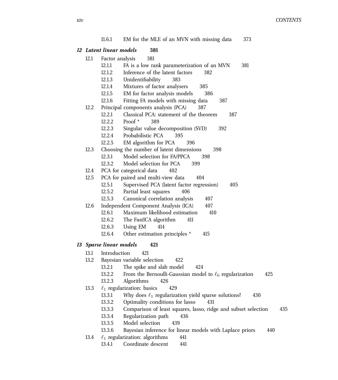11.6.1 EM for the MLE of an MVN with missing data 373 *12 Latent linear models* **381** 12.1 Factor analysis 381 12.1.1 FA is a low rank parameterization of an MVN 381 12.1.2 Inference of the latent factors 382 12.1.3 Unidentifiability 383 12.1.4 Mixtures of factor analysers 385 12.1.5 EM for factor analysis models 386 12.1.6 Fitting FA models with missing data 387 12.2 Principal components analysis (PCA) 387 12.2.1 Classical PCA: statement of the theorem 387 12.2.2 Proof \* 389 12.2.3 Singular value decomposition (SVD) 392 12.2.4 Probabilistic PCA 395 12.2.5 EM algorithm for PCA 396 12.3 Choosing the number of latent dimensions 398 12.3.1 Model selection for FA/PPCA 398 12.3.2 Model selection for PCA 399 12.4 PCA for categorical data 402 12.5 PCA for paired and multi-view data 404 12.5.1 Supervised PCA (latent factor regression) 405 12.5.2 Partial least squares 406 12.5.3 Canonical correlation analysis 407 12.6 Independent Component Analysis (ICA) 407 12.6.1 Maximum likelihood estimation 410 12.6.2 The FastICA algorithm 411 12.6.3 Using EM 414 12.6.4 Other estimation principles \* 415 *13 Sparse linear models* **421** 13.1 Introduction 421 13.2 Bayesian variable selection 422 13.2.1 The spike and slab model 424 13.2.2 From the Bernoulli-Gaussian model to  $\ell_0$  regularization 425<br>13.2.3 Algorithms 426 Algorithms 426 13.3  $\ell_1$  regularization: basics 429 13.3.1 Why does  $\ell_1$  regularization yield sparse solutions? 430 13.3.2 Optimality conditions for lasso 431 13.3.3 Comparison of least squares, lasso, ridge and subset selection 435 13.3.4 Regularization path 436 13.3.5 Model selection 439 13.3.6 Bayesian inference for linear models with Laplace priors 440 13.4  $\ell_1$  regularization: algorithms 441 13.4.1 Coordinate descent 441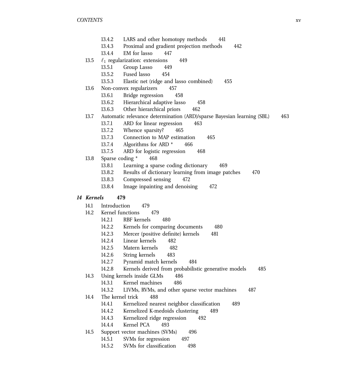- 13.4.2 LARS and other homotopy methods 441
- 13.4.3 Proximal and gradient projection methods 442
- 13.4.4 EM for lasso 447
- 13.5  $\ell_1$  regularization: extensions 449
	- 13.5.1 Group Lasso 449
	- 13.5.2 Fused lasso 454
	- 13.5.3 Elastic net (ridge and lasso combined) 455
- 13.6 Non-convex regularizers 457
	- 13.6.1 Bridge regression 458
	- 13.6.2 Hierarchical adaptive lasso 458
	- 13.6.3 Other hierarchical priors 462
- 13.7 Automatic relevance determination (ARD)/sparse Bayesian learning (SBL) 463
	- 13.7.1 ARD for linear regression 463
	- 13.7.2 Whence sparsity? 465
	- 13.7.3 Connection to MAP estimation 465
	- 13.7.4 Algorithms for ARD \* 466
	- 13.7.5 ARD for logistic regression 468
- 13.8 Sparse coding \* 468
	- 13.8.1 Learning a sparse coding dictionary 469
	- 13.8.2 Results of dictionary learning from image patches 470
	- 13.8.3 Compressed sensing 472
	- 13.8.4 Image inpainting and denoising 472

# *14 Kernels* **479**

- 14.1 Introduction 479
- 14.2 Kernel functions 479
	- 14.2.1 RBF kernels 480
	- 14.2.2 Kernels for comparing documents 480
	- 14.2.3 Mercer (positive definite) kernels 481
	- 14.2.4 Linear kernels 482
	- 14.2.5 Matern kernels 482
	- 14.2.6 String kernels 483
	- 14.2.7 Pyramid match kernels 484
	- 14.2.8 Kernels derived from probabilistic generative models 485
- 14.3 Using kernels inside GLMs 486
	- 14.3.1 Kernel machines 486
	- 14.3.2 L1VMs, RVMs, and other sparse vector machines 487
- 14.4 The kernel trick 488
	- 14.4.1 Kernelized nearest neighbor classification 489
	- 14.4.2 Kernelized K-medoids clustering 489
	- 14.4.3 Kernelized ridge regression 492
	- 14.4.4 Kernel PCA 493
- 14.5 Support vector machines (SVMs) 496
	- 14.5.1 SVMs for regression 497
	- 14.5.2 SVMs for classification 498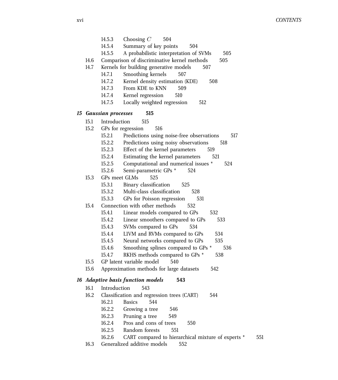- 14.5.3 Choosing  $C$  504
- 14.5.4 Summary of key points 504
- 14.5.5 A probabilistic interpretation of SVMs 505
- 14.6 Comparison of discriminative kernel methods 505
- 14.7 Kernels for building generative models 507
	- 14.7.1 Smoothing kernels 507
	- 14.7.2 Kernel density estimation (KDE) 508
	- 14.7.3 From KDE to KNN 509
	- 14.7.4 Kernel regression 510
	- 14.7.5 Locally weighted regression 512

#### *15 Gaussian processes* **515**

- 15.1 Introduction 515
- 15.2 GPs for regression 516
	- 15.2.1 Predictions using noise-free observations 517
	- 15.2.2 Predictions using noisy observations 518
	- 15.2.3 Effect of the kernel parameters 519
	- 15.2.4 Estimating the kernel parameters 521
	- 15.2.5 Computational and numerical issues \* 524
	- 15.2.6 Semi-parametric GPs \* 524
- 15.3 GPs meet GLMs 525
	- 15.3.1 Binary classification 525
	- 15.3.2 Multi-class classification 528
	- 15.3.3 GPs for Poisson regression 531
- 15.4 Connection with other methods 532
	- 15.4.1 Linear models compared to GPs 532
	- 15.4.2 Linear smoothers compared to GPs 533
	- 15.4.3 SVMs compared to GPs 534
	- 15.4.4 L1VM and RVMs compared to GPs 534
	- 15.4.5 Neural networks compared to GPs 535
	- 15.4.6 Smoothing splines compared to GPs \* 536
	- 15.4.7 RKHS methods compared to GPs \* 538
- 15.5 GP latent variable model 540
- 15.6 Approximation methods for large datasets 542

### *16 Adaptive basis function models* **543**

- 16.1 Introduction 543
- 16.2 Classification and regression trees (CART) 544
	- 16.2.1 Basics 544
	- 16.2.2 Growing a tree 546
	- 16.2.3 Pruning a tree 549
	- 16.2.4 Pros and cons of trees 550
	- 16.2.5 Random forests 551
	- 16.2.6 CART compared to hierarchical mixture of experts \* 551
- 16.3 Generalized additive models 552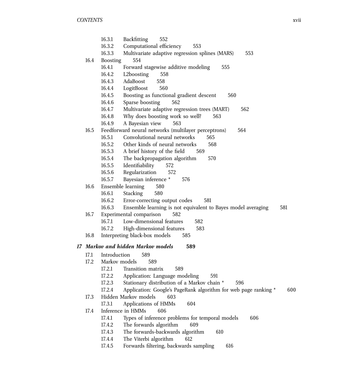|      | 16.3.1           | Backfitting<br>552                                                     |
|------|------------------|------------------------------------------------------------------------|
|      | 16.3.2           | Computational efficiency<br>553                                        |
|      | 16.3.3           | Multivariate adaptive regression splines (MARS)<br>553                 |
| 16.4 | <b>Boosting</b>  | 554                                                                    |
|      | 16.4.1           | Forward stagewise additive modeling<br>555                             |
|      | 16.4.2           | L2boosting<br>558                                                      |
|      | 16.4.3           | AdaBoost<br>558                                                        |
|      | 16.4.4           | LogitBoost<br>560                                                      |
|      | 16.4.5           | Boosting as functional gradient descent<br>560                         |
|      | 16.4.6           | Sparse boosting<br>562                                                 |
|      | 16.4.7           | Multivariate adaptive regression trees (MART)<br>562                   |
|      | 16.4.8           | Why does boosting work so well?<br>563                                 |
|      | 16.4.9           | A Bayesian view<br>563                                                 |
| 16.5 |                  | Feedforward neural networks (multilayer perceptrons)<br>564            |
|      | 16.5.1           | Convolutional neural networks<br>565                                   |
|      | 16.5.2           | Other kinds of neural networks<br>568                                  |
|      | 16.5.3           | A brief history of the field<br>569                                    |
|      | 16.5.4           | The backpropagation algorithm<br>570                                   |
|      | 16.5.5           | Identifiability<br>572                                                 |
|      | 16.5.6           | Regularization<br>572                                                  |
|      | 16.5.7           | Bayesian inference *<br>576                                            |
| 16.6 |                  | Ensemble learning<br>580                                               |
|      | 16.6.1           | Stacking<br>580                                                        |
|      | 16.6.2           | Error-correcting output codes<br>581                                   |
|      | 16.6.3           | Ensemble learning is not equivalent to Bayes model averaging<br>581    |
| 16.7 |                  | Experimental comparison<br>582                                         |
|      | 16.7.1<br>16.7.2 | Low-dimensional features<br>582                                        |
| 16.8 |                  | High-dimensional features<br>583<br>585                                |
|      |                  | Interpreting black-box models                                          |
|      |                  | 17 Markov and hidden Markov models<br>589                              |
| 17.1 | Introduction     | 589                                                                    |
| 17.2 | Markov models    | 589                                                                    |
|      | 17.2.1           | Transition matrix<br>589                                               |
|      | 17.2.2           | Application: Language modeling<br>591                                  |
|      | 17.2.3           | Stationary distribution of a Markov chain *<br>596                     |
|      | 17.2.4           | Application: Google's PageRank algorithm for web page ranking *<br>600 |
| 17.3 |                  | Hidden Markov models<br>603                                            |
|      | 17.3.1           | Applications of HMMs<br>604                                            |
| 17.4 |                  | Inference in HMMs<br>606                                               |
|      | 17.4.1           | Types of inference problems for temporal models<br>606                 |
|      | 17.4.2           | The forwards algorithm<br>609                                          |
|      | 17.4.3           | The forwards-backwards algorithm<br>610                                |
|      | 17.4.4           | The Viterbi algorithm<br>612                                           |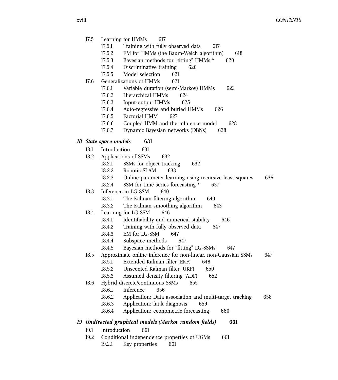- 17.5 Learning for HMMs 617
	- 17.5.1 Training with fully observed data 617
	- 17.5.2 EM for HMMs (the Baum-Welch algorithm) 618
	- 17.5.3 Bayesian methods for "fitting" HMMs \* 620
	- 17.5.4 Discriminative training 620
	- 17.5.5 Model selection 621
- 17.6 Generalizations of HMMs 621
	- 17.6.1 Variable duration (semi-Markov) HMMs 622
	- 17.6.2 Hierarchical HMMs 624
	- 17.6.3 Input-output HMMs 625
	- 17.6.4 Auto-regressive and buried HMMs 626
	- 17.6.5 Factorial HMM 627
	- 17.6.6 Coupled HMM and the influence model 628
	- 17.6.7 Dynamic Bayesian networks (DBNs) 628

## *18 State space models* **631**

- 18.1 Introduction 631
- 18.2 Applications of SSMs 632
	- 18.2.1 SSMs for object tracking 632
	- 18.2.2 Robotic SLAM 633
	- 18.2.3 Online parameter learning using recursive least squares 636
	- 18.2.4 SSM for time series forecasting \* 637
- 18.3 Inference in LG-SSM 640
	- 18.3.1 The Kalman filtering algorithm 640
	- 18.3.2 The Kalman smoothing algorithm 643
- 18.4 Learning for LG-SSM 646
	- 18.4.1 Identifiability and numerical stability 646
	- 18.4.2 Training with fully observed data 647
	- 18.4.3 EM for LG-SSM 647
	- 18.4.4 Subspace methods 647
	- 18.4.5 Bayesian methods for "fitting" LG-SSMs 647
- 18.5 Approximate online inference for non-linear, non-Gaussian SSMs 647
	- 18.5.1 Extended Kalman filter (EKF) 648
	- 18.5.2 Unscented Kalman filter (UKF) 650
	- 18.5.3 Assumed density filtering (ADF) 652
- 18.6 Hybrid discrete/continuous SSMs 655
	- 18.6.1 Inference 656
	- 18.6.2 Application: Data association and multi-target tracking 658
	- 18.6.3 Application: fault diagnosis 659
	- 18.6.4 Application: econometric forecasting 660

### *19 Undirected graphical models (Markov random fields)* **661**

- 19.1 Introduction 661
- 19.2 Conditional independence properties of UGMs 661 19.2.1 Key properties 661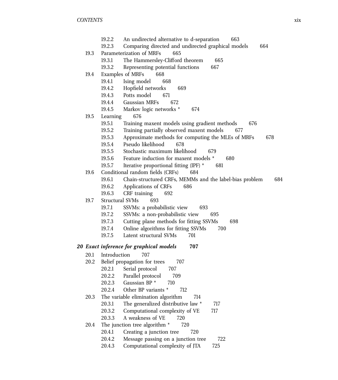- 19.2.2 An undirected alternative to d-separation 663
- 19.2.3 Comparing directed and undirected graphical models 664
- 19.3 Parameterization of MRFs 665
	- 19.3.1 The Hammersley-Clifford theorem 665
	- 19.3.2 Representing potential functions 667
- 19.4 Examples of MRFs 668
	- 19.4.1 Ising model 668
	- 19.4.2 Hopfield networks 669
	- 19.4.3 Potts model 671
	- 19.4.4 Gaussian MRFs 672
	- 19.4.5 Markov logic networks \* 674

# 19.5 Learning 676

- 19.5.1 Training maxent models using gradient methods 676
- 19.5.2 Training partially observed maxent models 677
- 19.5.3 Approximate methods for computing the MLEs of MRFs 678
- 19.5.4 Pseudo likelihood 678
- 19.5.5 Stochastic maximum likelihood 679
- 19.5.6 Feature induction for maxent models \* 680
- 19.5.7 Iterative proportional fitting (IPF) \* 681
- 19.6 Conditional random fields (CRFs) 684
	- 19.6.1 Chain-structured CRFs, MEMMs and the label-bias problem 684
	- 19.6.2 Applications of CRFs 686
	- 19.6.3 CRF training 692
- 19.7 Structural SVMs 693
	- 19.7.1 SSVMs: a probabilistic view 693
	- 19.7.2 SSVMs: a non-probabilistic view 695
	- 19.7.3 Cutting plane methods for fitting SSVMs 698
	- 19.7.4 Online algorithms for fitting SSVMs 700
	- 19.7.5 Latent structural SVMs 701

### *20 Exact inference for graphical models* **707**

- 20.1 Introduction 707
- 20.2 Belief propagation for trees 707
	- 20.2.1 Serial protocol 707
	- 20.2.2 Parallel protocol 709
	- 20.2.3 Gaussian BP \* 710
	- 20.2.4 Other BP variants \* 712
- 20.3 The variable elimination algorithm 714
	- 20.3.1 The generalized distributive law \* 717
	- 20.3.2 Computational complexity of VE 717
	- 20.3.3 A weakness of VE 720
- 20.4 The junction tree algorithm \* 720
	- 20.4.1 Creating a junction tree 720
	- 20.4.2 Message passing on a junction tree 722
	- 20.4.3 Computational complexity of JTA 725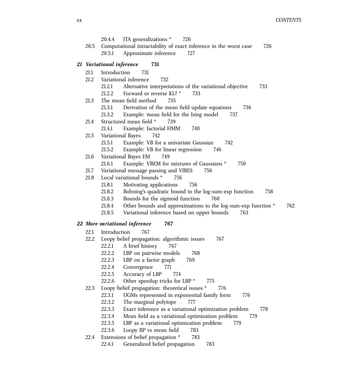| 20.5 | JTA generalizations *<br>20.4.4<br>726<br>Computational intractability of exact inference in the worst case<br>726<br>Approximate inference<br>727<br>20.5.1 |
|------|--------------------------------------------------------------------------------------------------------------------------------------------------------------|
|      | 21 Variational inference<br>731                                                                                                                              |
| 21.1 | Introduction<br>731                                                                                                                                          |
| 21.2 | Variational inference<br>732                                                                                                                                 |
|      | 21.2.1<br>Alternative interpretations of the variational objective<br>733                                                                                    |
|      | 21.2.2<br>Forward or reverse KL? *<br>733                                                                                                                    |
| 21.3 | The mean field method<br>735                                                                                                                                 |
|      | 21.3.1<br>Derivation of the mean field update equations<br>736                                                                                               |
|      | Example: mean field for the Ising model<br>21.3.2<br>737                                                                                                     |
| 21.4 | Structured mean field *<br>739                                                                                                                               |
|      | Example: factorial HMM<br>21.4.1<br>740                                                                                                                      |
| 21.5 | Variational Bayes<br>742                                                                                                                                     |
|      | Example: VB for a univariate Gaussian<br>21.5.1<br>742                                                                                                       |
|      | Example: VB for linear regression<br>21.5.2<br>746                                                                                                           |
| 21.6 | Variational Bayes EM<br>749                                                                                                                                  |
|      | Example: VBEM for mixtures of Gaussians *<br>21.6.1<br>750                                                                                                   |
| 21.7 | Variational message passing and VIBES<br>756                                                                                                                 |
| 21.8 | Local variational bounds *<br>756                                                                                                                            |
|      | 21.8.1<br>Motivating applications<br>756                                                                                                                     |
|      | 21.8.2<br>Bohning's quadratic bound to the log-sum-exp function<br>758                                                                                       |
|      | Bounds for the sigmoid function<br>21.8.3<br>760                                                                                                             |
|      | Other bounds and approximations to the log-sum-exp function *<br>21.8.4<br>762                                                                               |
|      | Variational inference based on upper bounds<br>21.8.5<br>763                                                                                                 |
|      | 22 More variational inference<br>767                                                                                                                         |
| 22.1 | Introduction<br>767                                                                                                                                          |
| 22.2 | Loopy belief propagation: algorithmic issues<br>767                                                                                                          |
|      | A brief history<br>22.2.1<br>767                                                                                                                             |
|      | LBP on pairwise models<br>22.2.2<br>768                                                                                                                      |
|      | LBP on a factor graph<br>22.2.3<br>769                                                                                                                       |
|      | 22.2.4<br>Convergence<br>771                                                                                                                                 |
|      | Accuracy of LBP<br>22.2.5<br>774                                                                                                                             |
|      | Other speedup tricks for LBP <sup>*</sup><br>22.2.6<br>775                                                                                                   |
| 22.3 | Loopy belief propagation: theoretical issues *<br>776                                                                                                        |
|      | UGMs represented in exponential family form<br>22.3.1<br>776                                                                                                 |
|      | 22.3.2<br>The marginal polytope<br>777<br>22.3.3<br>778                                                                                                      |
|      | Exact inference as a variational optimization problem<br>22.3.4<br>779                                                                                       |
|      | Mean field as a variational optimization problem<br>22.3.5<br>LBP as a variational optimization problem<br>779                                               |
|      | 22.3.6<br>Loopy BP vs mean field<br>783                                                                                                                      |
| 22.4 | Extensions of belief propagation *<br>783                                                                                                                    |
|      | Generalized belief propagation<br>22.4.1<br>783                                                                                                              |
|      |                                                                                                                                                              |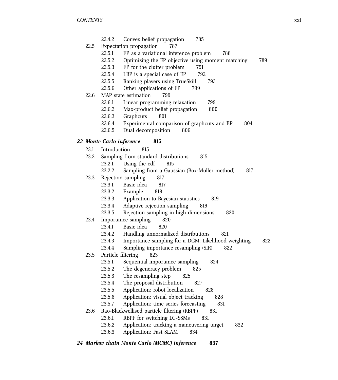|      | 22.4.2                   | Convex belief propagation<br>785                    |     |
|------|--------------------------|-----------------------------------------------------|-----|
| 22.5 |                          | Expectation propagation<br>787                      |     |
|      | 22.5.1                   | EP as a variational inference problem<br>788        |     |
|      | 22.5.2                   | Optimizing the EP objective using moment matching   | 789 |
|      | 22.5.3                   | EP for the clutter problem<br>791                   |     |
|      | 22.5.4                   | LBP is a special case of EP<br>792                  |     |
|      | 22.5.5                   | Ranking players using TrueSkill<br>793              |     |
|      | 22.5.6                   | Other applications of EP<br>799                     |     |
| 22.6 |                          | MAP state estimation<br>799                         |     |
|      | 22.6.1                   | Linear programming relaxation<br>799                |     |
|      | 22.6.2                   | Max-product belief propagation<br>800               |     |
|      | 22.6.3                   | Graphcuts<br>801                                    |     |
|      | 22.6.4                   | Experimental comparison of graphcuts and BP<br>804  |     |
|      | 22.6.5                   | Dual decomposition<br>806                           |     |
|      | 23 Monte Carlo inference | 815                                                 |     |
| 23.1 | Introduction             | 815                                                 |     |
| 23.2 |                          | Sampling from standard distributions<br>815         |     |
|      | 23.2.1                   | Using the cdf<br>815                                |     |
|      | 23.2.2                   | Sampling from a Gaussian (Box-Muller method)<br>817 |     |
| 23.3 |                          | Rejection sampling<br>817                           |     |
|      | 23.3.1                   | Basic idea<br>817                                   |     |
|      | 23.3.2                   | 818<br>Example                                      |     |
|      | 23.3.3                   | Application to Bayesian statistics<br>819           |     |
|      | 23.3.4                   | Adaptive rejection sampling<br>819                  |     |
|      | 23.3.5                   | Rejection sampling in high dimensions<br>820        |     |
| 23.4 |                          | Importance sampling<br>820                          |     |
|      | 23.4.1                   | Basic idea<br>820                                   |     |
|      | 23.4.2                   | Handling unnormalized distributions<br>821          |     |
|      | 23.4.3                   | Importance sampling for a DGM: Likelihood weighting | 822 |
|      | 23.4.4                   | Sampling importance resampling (SIR)<br>822         |     |
| 23.5 | Particle filtering       | 823                                                 |     |
|      | 23.5.1                   | Sequential importance sampling<br>824               |     |
|      | 23.5.2                   | The degeneracy problem<br>825                       |     |
|      | 23.5.3                   | The resampling step<br>825                          |     |
|      | 23.5.4                   | The proposal distribution<br>827                    |     |
|      | 23.5.5                   | Application: robot localization<br>828              |     |
|      | 23.5.6                   | Application: visual object tracking<br>828          |     |
|      | 23.5.7                   | Application: time series forecasting<br>831         |     |
| 23.6 |                          | Rao-Blackwellised particle filtering (RBPF)<br>831  |     |
|      | 23.6.1                   | RBPF for switching LG-SSMs<br>831                   |     |
|      | 23.6.2                   | Application: tracking a maneuvering target<br>832   |     |
|      | 23.6.3                   | Application: Fast SLAM<br>834                       |     |

*24 Markov chain Monte Carlo (MCMC) inference* **837**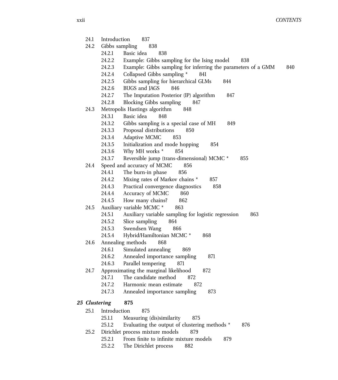24.1 Introduction 837

| 24.2          | Gibbs sampling | 838                                                                  |
|---------------|----------------|----------------------------------------------------------------------|
|               | 24.2.1         | 838<br>Basic idea                                                    |
|               | 24.2.2         | Example: Gibbs sampling for the Ising model<br>838                   |
|               | 24.2.3         | Example: Gibbs sampling for inferring the parameters of a GMM<br>840 |
|               | 24.2.4         | Collapsed Gibbs sampling *<br>841                                    |
|               | 24.2.5         | Gibbs sampling for hierarchical GLMs<br>844                          |
|               | 24.2.6         | BUGS and JAGS<br>846                                                 |
|               | 24.2.7         | The Imputation Posterior (IP) algorithm<br>847                       |
|               | 24.2.8         | <b>Blocking Gibbs sampling</b><br>847                                |
| 24.3          |                | Metropolis Hastings algorithm<br>848                                 |
|               | 24.3.1         | Basic idea<br>848                                                    |
|               | 24.3.2         | Gibbs sampling is a special case of MH<br>849                        |
|               | 24.3.3         | Proposal distributions<br>850                                        |
|               | 24.3.4         | Adaptive MCMC<br>853                                                 |
|               | 24.3.5         | Initialization and mode hopping<br>854                               |
|               | 24.3.6         | Why MH works *<br>854                                                |
|               | 24.3.7         | Reversible jump (trans-dimensional) MCMC *<br>855                    |
| 24.4          |                | Speed and accuracy of MCMC<br>856                                    |
|               | 24.4.1         | The burn-in phase<br>856                                             |
|               | 24.4.2         | Mixing rates of Markov chains *<br>857                               |
|               | 24.4.3         | Practical convergence diagnostics<br>858                             |
|               | 24.4.4         | Accuracy of MCMC<br>860                                              |
|               | 24.4.5         | How many chains?<br>862                                              |
| 24.5          |                | Auxiliary variable MCMC *<br>863                                     |
|               | 24.5.1         | Auxiliary variable sampling for logistic regression<br>863           |
|               | 24.5.2         | Slice sampling<br>864                                                |
|               | 24.5.3         | Swendsen Wang<br>866                                                 |
|               | 24.5.4         | Hybrid/Hamiltonian MCMC *<br>868                                     |
| 24.6          |                | Annealing methods<br>868                                             |
|               | 24.6.1         | Simulated annealing<br>869                                           |
|               | 24.6.2         | Annealed importance sampling<br>871                                  |
|               | 24.6.3         | Parallel tempering<br>871                                            |
| 24.7          |                | Approximating the marginal likelihood<br>872                         |
|               | 24.7.1         | The candidate method<br>872                                          |
|               | 24.7.2         | Harmonic mean estimate<br>872                                        |
|               | 24.7.3         | 873<br>Annealed importance sampling                                  |
| 25 Clustering |                | 875                                                                  |
| 25.1          | Introduction   | 875                                                                  |
|               | 25.1.1         | Measuring (dis)similarity<br>875                                     |
|               | 25.1.2         | Evaluating the output of clustering methods *<br>876                 |
| 25.2          |                | Dirichlet process mixture models<br>879                              |
|               | 25.2.1         | From finite to infinite mixture models<br>879                        |
|               | 25.2.2         | The Dirichlet process<br>882                                         |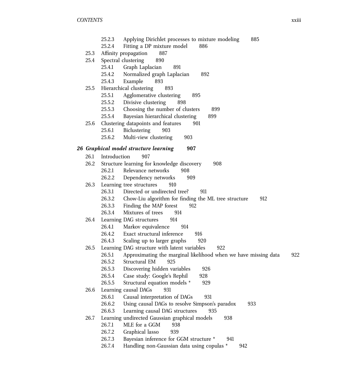|      | 25.2.3              | Applying Dirichlet processes to mixture modeling<br>885                |
|------|---------------------|------------------------------------------------------------------------|
|      | 25.2.4              | Fitting a DP mixture model<br>886                                      |
| 25.3 |                     | Affinity propagation<br>887                                            |
| 25.4 | Spectral clustering | 890                                                                    |
|      | 25.4.1              | Graph Laplacian<br>891                                                 |
|      | 25.4.2              | Normalized graph Laplacian<br>892                                      |
|      | 25.4.3              | Example<br>893                                                         |
| 25.5 |                     | Hierarchical clustering<br>893                                         |
|      | 25.5.1              | Agglomerative clustering<br>895                                        |
|      | 25.5.2              | Divisive clustering<br>898                                             |
|      | 25.5.3              | Choosing the number of clusters<br>899                                 |
|      | 25.5.4              | Bayesian hierarchical clustering<br>899                                |
| 25.6 |                     | Clustering datapoints and features<br>901                              |
|      | 25.6.1              | Biclustering<br>903                                                    |
|      | 25.6.2              | Multi-view clustering<br>903                                           |
|      |                     | 26 Graphical model structure learning<br>907                           |
| 26.1 | Introduction        | 907                                                                    |
| 26.2 |                     | Structure learning for knowledge discovery<br>908                      |
|      | 26.2.1              | Relevance networks<br>908                                              |
|      | 26.2.2              | Dependency networks<br>909                                             |
| 26.3 |                     | Learning tree structures<br>910                                        |
|      | 26.3.1              | Directed or undirected tree?<br>911                                    |
|      | 26.3.2              | Chow-Liu algorithm for finding the ML tree structure<br>912            |
|      | 26.3.3              | Finding the MAP forest<br>912                                          |
|      | 26.3.4              | Mixtures of trees<br>914                                               |
| 26.4 |                     | Learning DAG structures<br>914                                         |
|      | 26.4.1              | Markov equivalence<br>914                                              |
|      | 26.4.2              | Exact structural inference<br>916                                      |
|      | 26.4.3              | Scaling up to larger graphs<br>920                                     |
| 26.5 |                     | Learning DAG structure with latent variables<br>922                    |
|      | 26.5.1              | Approximating the marginal likelihood when we have missing data<br>922 |
|      | 26.5.2              | Structural EM<br>925                                                   |
|      | 26.5.3              | Discovering hidden variables<br>926                                    |
|      | 26.5.4              | Case study: Google's Rephil<br>928                                     |
|      | 26.5.5              | Structural equation models *<br>929                                    |
| 26.6 |                     | Learning causal DAGs<br>931                                            |
|      | 26.6.1              | Causal interpretation of DAGs<br>931                                   |
|      | 26.6.2              | Using causal DAGs to resolve Simpson's paradox<br>933                  |
|      | 26.6.3              | Learning causal DAG structures<br>935                                  |
| 26.7 |                     | Learning undirected Gaussian graphical models<br>938                   |
|      | 26.7.1              | MLE for a GGM<br>938                                                   |
|      | 26.7.2              | Graphical lasso<br>939                                                 |
|      | 26.7.3              | Bayesian inference for GGM structure *<br>941                          |

26.7.4 Handling non-Gaussian data using copulas \* 942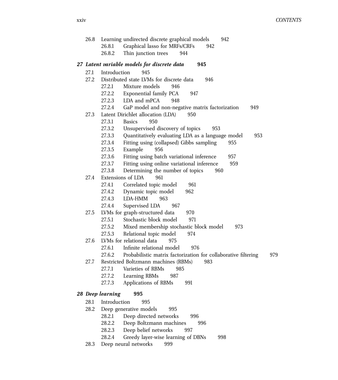| 26.8 | 26.8.1           | Learning undirected discrete graphical models<br>942<br>Graphical lasso for MRFs/CRFs<br>942 |
|------|------------------|----------------------------------------------------------------------------------------------|
|      | 26.8.2           | Thin junction trees<br>944                                                                   |
|      |                  | 27 Latent variable models for discrete data<br>945                                           |
| 27.1 | Introduction     | 945                                                                                          |
| 27.2 |                  | Distributed state LVMs for discrete data<br>946                                              |
|      | 27.2.1           | Mixture models<br>946                                                                        |
|      | 27.2.2           | Exponential family PCA<br>947                                                                |
|      | 27.2.3           | LDA and mPCA<br>948                                                                          |
|      | 27.2.4           | GaP model and non-negative matrix factorization<br>949                                       |
| 27.3 |                  | Latent Dirichlet allocation (LDA)<br>950                                                     |
|      | 27.3.1           | 950<br><b>Basics</b>                                                                         |
|      | 27.3.2           | Unsupervised discovery of topics<br>953                                                      |
|      | 27.3.3           | Quantitatively evaluating LDA as a language model<br>953                                     |
|      | 27.3.4           | Fitting using (collapsed) Gibbs sampling<br>955                                              |
|      | 27.3.5           | Example<br>956                                                                               |
|      | 27.3.6           | Fitting using batch variational inference<br>957                                             |
|      | 27.3.7           | Fitting using online variational inference<br>959                                            |
|      | 27.3.8           | Determining the number of topics<br>960                                                      |
| 27.4 |                  | Extensions of LDA<br>961                                                                     |
|      | 27.4.1           | Correlated topic model<br>961                                                                |
|      | 27.4.2           | Dynamic topic model<br>962                                                                   |
|      | 27.4.3           | LDA-HMM<br>963                                                                               |
|      | 27.4.4           | Supervised LDA<br>967                                                                        |
| 27.5 |                  | LVMs for graph-structured data<br>970<br>Stochastic block model                              |
|      | 27.5.1<br>27.5.2 | 971<br>Mixed membership stochastic block model<br>973                                        |
|      | 27.5.3           | 974<br>Relational topic model                                                                |
| 27.6 |                  | LVMs for relational data<br>975                                                              |
|      | 27.6.1           | Infinite relational model<br>976                                                             |
|      | 27.6.2           | Probabilistic matrix factorization for collaborative filtering<br>979                        |
| 27.7 |                  | Restricted Boltzmann machines (RBMs)<br>983                                                  |
|      | 27.7.1           | Varieties of RBMs<br>985                                                                     |
|      | 27.7.2           | Learning RBMs<br>987                                                                         |
|      | 27.7.3           | Applications of RBMs<br>991                                                                  |
|      | 28 Deep learning | 995                                                                                          |
| 28.1 | Introduction     | 995                                                                                          |
| 28.2 |                  | Deep generative models<br>995                                                                |
|      | 28.2.1           | Deep directed networks<br>996                                                                |
|      | 28.2.2           | Deep Boltzmann machines<br>996                                                               |
|      | 28.2.3           | Deep belief networks<br>997                                                                  |
|      | 28.2.4           | Greedy layer-wise learning of DBNs<br>998                                                    |
|      |                  |                                                                                              |

28.3 Deep neural networks 999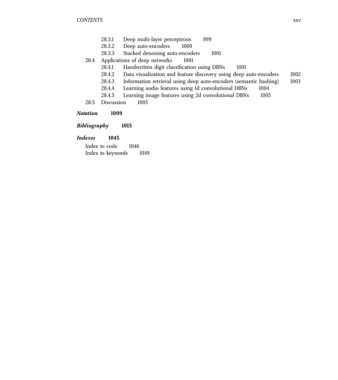- 28.3.1 Deep multi-layer perceptrons 999
- 28.3.2 Deep auto-encoders 1000
- 28.3.3 Stacked denoising auto-encoders 1001
- 28.4 Applications of deep networks 1001
	- 28.4.1 Handwritten digit classification using DBNs 1001
	- 28.4.2 Data visualization and feature discovery using deep auto-encoders 1002
	- 28.4.3 Information retrieval using deep auto-encoders (semantic hashing) 1003
	- 28.4.4 Learning audio features using 1d convolutional DBNs 1004
	- 28.4.5 Learning image features using 2d convolutional DBNs 1005
- 28.5 Discussion 1005

# *Notation* **1009**

# *Bibliography* **1015**

# *Indexes* **1045**

Index to code 1046 Index to keywords 1049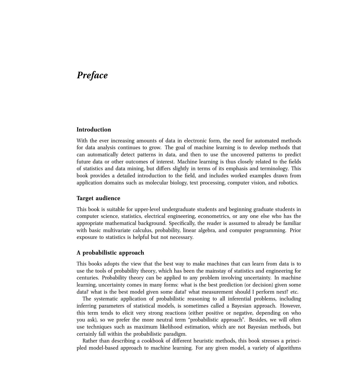# *Preface*

# **Introduction**

With the ever increasing amounts of data in electronic form, the need for automated methods for data analysis continues to grow. The goal of machine learning is to develop methods that can automatically detect patterns in data, and then to use the uncovered patterns to predict future data or other outcomes of interest. Machine learning is thus closely related to the fields of statistics and data mining, but differs slightly in terms of its emphasis and terminology. This book provides a detailed introduction to the field, and includes worked examples drawn from application domains such as molecular biology, text processing, computer vision, and robotics.

#### **Target audience**

This book is suitable for upper-level undergraduate students and beginning graduate students in computer science, statistics, electrical engineering, econometrics, or any one else who has the appropriate mathematical background. Specifically, the reader is assumed to already be familiar with basic multivariate calculus, probability, linear algebra, and computer programming. Prior exposure to statistics is helpful but not necessary.

#### **A probabilistic approach**

This books adopts the view that the best way to make machines that can learn from data is to use the tools of probability theory, which has been the mainstay of statistics and engineering for centuries. Probability theory can be applied to any problem involving uncertainty. In machine learning, uncertainty comes in many forms: what is the best prediction (or decision) given some data? what is the best model given some data? what measurement should I perform next? etc.

The systematic application of probabilistic reasoning to all inferential problems, including inferring parameters of statistical models, is sometimes called a Bayesian approach. However, this term tends to elicit very strong reactions (either positive or negative, depending on who you ask), so we prefer the more neutral term "probabilistic approach". Besides, we will often use techniques such as maximum likelihood estimation, which are not Bayesian methods, but certainly fall within the probabilistic paradigm.

Rather than describing a cookbook of different heuristic methods, this book stresses a principled model-based approach to machine learning. For any given model, a variety of algorithms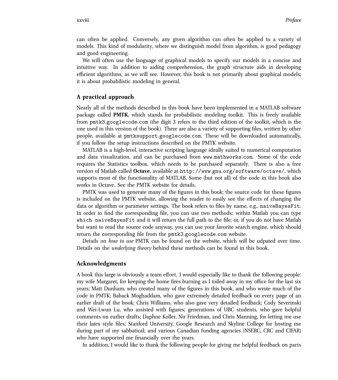can often be applied. Conversely, any given algorithm can often be applied to a variety of models. This kind of modularity, where we distinguish model from algorithm, is good pedagogy and good engineering.

We will often use the language of graphical models to specify our models in a concise and intuitive way. In addition to aiding comprehension, the graph structure aids in developing efficient algorithms, as we will see. However, this book is not primarily about graphical models; it is about probabilistic modeling in general.

#### **A practical approach**

Nearly all of the methods described in this book have been implemented in a MATLAB software package called **PMTK**, which stands for probabilistic modeling toolkit. This is freely available from pmtk3.googlecode.com (the digit 3 refers to the third edition of the toolkit, which is the one used in this version of the book). There are also a variety of supporting files, written by other people, available at pmtksupport.googlecode.com. These will be downloaded automatically, if you follow the setup instructions described on the PMTK website.

MATLAB is a high-level, interactive scripting language ideally suited to numerical computation and data visualization, and can be purchased from www.mathworks.com. Some of the code requires the Statistics toolbox, which needs to be purchased separately. There is also a free version of Matlab called **Octave**, available at http://www.gnu.org/software/octave/, which supports most of the functionality of MATLAB. Some (but not all) of the code in this book also works in Octave. See the PMTK website for details.

PMTK was used to generate many of the figures in this book; the source code for these figures is included on the PMTK website, allowing the reader to easily see the effects of changing the data or algorithm or parameter settings. The book refers to files by name, e.g., naiveBayesFit. In order to find the corresponding file, you can use two methods: within Matlab you can type which naiveBayesFit and it will return the full path to the file; or, if you do not have Matlab but want to read the source code anyway, you can use your favorite search engine, which should return the corresponding file from the pmtk3.googlecode.com website.

Details on *how to use* PMTK can be found on the website, which will be udpated over time. Details on the *underlying theory* behind these methods can be found in this book.

#### **Acknowledgments**

A book this large is obviously a team effort. I would especially like to thank the following people: my wife Margaret, for keeping the home fires burning as I toiled away in my office for the last six years; Matt Dunham, who created many of the figures in this book, and who wrote much of the code in PMTK; Baback Moghaddam, who gave extremely detailed feedback on every page of an earlier draft of the book; Chris Williams, who also gave very detailed feedback; Cody Severinski and Wei-Lwun Lu, who assisted with figures; generations of UBC students, who gave helpful comments on earlier drafts; Daphne Koller, Nir Friedman, and Chris Manning, for letting me use their latex style files; Stanford University, Google Research and Skyline College for hosting me during part of my sabbatical; and various Canadian funding agencies (NSERC, CRC and CIFAR) who have supported me financially over the years.

In addition, I would like to thank the following people for giving me helpful feedback on parts